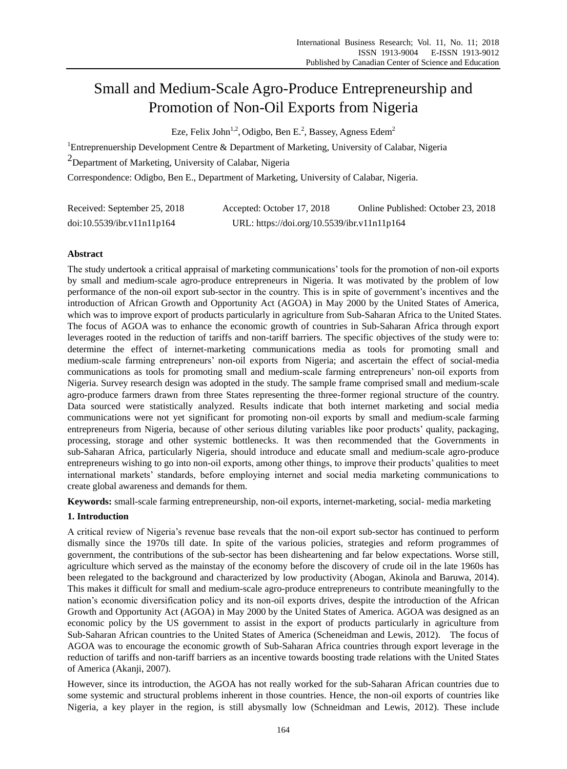# Small and Medium-Scale Agro-Produce Entrepreneurship and Promotion of Non-Oil Exports from Nigeria

Eze, Felix John<sup>1,2</sup>, Odigbo, Ben E.<sup>2</sup>, Bassey, Agness Edem<sup>2</sup>

<sup>1</sup>Entreprenuership Development Centre & Department of Marketing, University of Calabar, Nigeria

<sup>2</sup>Department of Marketing, University of Calabar, Nigeria

Correspondence: Odigbo, Ben E., Department of Marketing, University of Calabar, Nigeria.

| Received: September 25, 2018 | Accepted: October 17, 2018                  | Online Published: October 23, 2018 |
|------------------------------|---------------------------------------------|------------------------------------|
| doi:10.5539/ibr.v11n11p164   | URL: https://doi.org/10.5539/ibr.v11n11p164 |                                    |

# **Abstract**

The study undertook a critical appraisal of marketing communications' tools for the promotion of non-oil exports by small and medium-scale agro-produce entrepreneurs in Nigeria. It was motivated by the problem of low performance of the non-oil export sub-sector in the country. This is in spite of government's incentives and the introduction of African Growth and Opportunity Act (AGOA) in May 2000 by the United States of America, which was to improve export of products particularly in agriculture from Sub-Saharan Africa to the United States. The focus of AGOA was to enhance the economic growth of countries in Sub-Saharan Africa through export leverages rooted in the reduction of tariffs and non-tariff barriers. The specific objectives of the study were to: determine the effect of internet-marketing communications media as tools for promoting small and medium-scale farming entrepreneurs' non-oil exports from Nigeria; and ascertain the effect of social-media communications as tools for promoting small and medium-scale farming entrepreneurs' non-oil exports from Nigeria. Survey research design was adopted in the study. The sample frame comprised small and medium-scale agro-produce farmers drawn from three States representing the three-former regional structure of the country. Data sourced were statistically analyzed. Results indicate that both internet marketing and social media communications were not yet significant for promoting non-oil exports by small and medium-scale farming entrepreneurs from Nigeria, because of other serious diluting variables like poor products' quality, packaging, processing, storage and other systemic bottlenecks. It was then recommended that the Governments in sub-Saharan Africa, particularly Nigeria, should introduce and educate small and medium-scale agro-produce entrepreneurs wishing to go into non-oil exports, among other things, to improve their products' qualities to meet international markets' standards, before employing internet and social media marketing communications to create global awareness and demands for them.

**Keywords:** small-scale farming entrepreneurship, non-oil exports, internet-marketing, social- media marketing

# **1. Introduction**

A critical review of Nigeria's revenue base reveals that the non-oil export sub-sector has continued to perform dismally since the 1970s till date. In spite of the various policies, strategies and reform programmes of government, the contributions of the sub-sector has been disheartening and far below expectations. Worse still, agriculture which served as the mainstay of the economy before the discovery of crude oil in the late 1960s has been relegated to the background and characterized by low productivity (Abogan, Akinola and Baruwa, 2014). This makes it difficult for small and medium-scale agro-produce entrepreneurs to contribute meaningfully to the nation's economic diversification policy and its non-oil exports drives, despite the introduction of the African Growth and Opportunity Act (AGOA) in May 2000 by the United States of America. AGOA was designed as an economic policy by the US government to assist in the export of products particularly in agriculture from Sub-Saharan African countries to the United States of America (Scheneidman and Lewis, 2012). The focus of AGOA was to encourage the economic growth of Sub-Saharan Africa countries through export leverage in the reduction of tariffs and non-tariff barriers as an incentive towards boosting trade relations with the United States of America (Akanji, 2007).

However, since its introduction, the AGOA has not really worked for the sub-Saharan African countries due to some systemic and structural problems inherent in those countries. Hence, the non-oil exports of countries like Nigeria, a key player in the region, is still abysmally low (Schneidman and Lewis, 2012). These include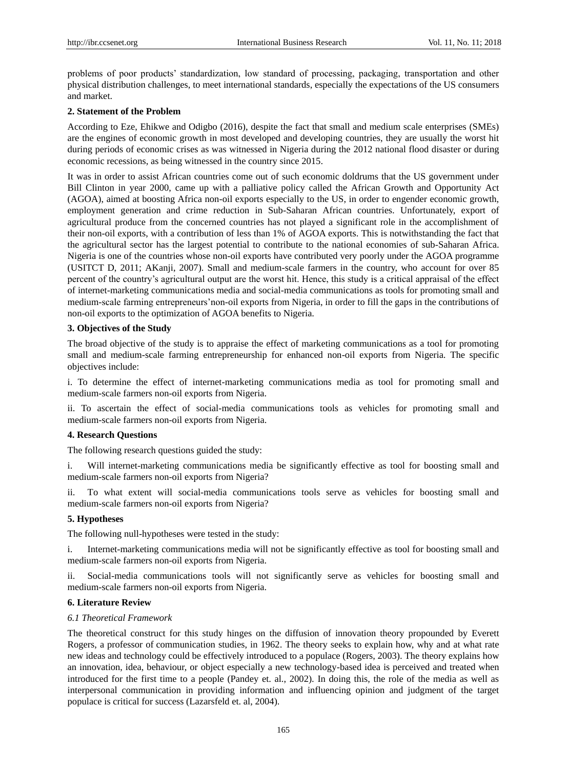problems of poor products' standardization, low standard of processing, packaging, transportation and other physical distribution challenges, to meet international standards, especially the expectations of the US consumers and market.

## **2. Statement of the Problem**

According to Eze, Ehikwe and Odigbo (2016), despite the fact that small and medium scale enterprises (SMEs) are the engines of economic growth in most developed and developing countries, they are usually the worst hit during periods of economic crises as was witnessed in Nigeria during the 2012 national flood disaster or during economic recessions, as being witnessed in the country since 2015.

It was in order to assist African countries come out of such economic doldrums that the US government under Bill Clinton in year 2000, came up with a palliative policy called the African Growth and Opportunity Act (AGOA), aimed at boosting Africa non-oil exports especially to the US, in order to engender economic growth, employment generation and crime reduction in Sub-Saharan African countries. Unfortunately, export of agricultural produce from the concerned countries has not played a significant role in the accomplishment of their non-oil exports, with a contribution of less than 1% of AGOA exports. This is notwithstanding the fact that the agricultural sector has the largest potential to contribute to the national economies of sub-Saharan Africa. Nigeria is one of the countries whose non-oil exports have contributed very poorly under the AGOA programme (USITCT D, 2011; AKanji, 2007). Small and medium-scale farmers in the country, who account for over 85 percent of the country's agricultural output are the worst hit. Hence, this study is a critical appraisal of the effect of internet-marketing communications media and social-media communications as tools for promoting small and medium-scale farming entrepreneurs'non-oil exports from Nigeria, in order to fill the gaps in the contributions of non-oil exports to the optimization of AGOA benefits to Nigeria.

# **3. Objectives of the Study**

The broad objective of the study is to appraise the effect of marketing communications as a tool for promoting small and medium-scale farming entrepreneurship for enhanced non-oil exports from Nigeria. The specific objectives include:

i. To determine the effect of internet-marketing communications media as tool for promoting small and medium-scale farmers non-oil exports from Nigeria.

ii. To ascertain the effect of social-media communications tools as vehicles for promoting small and medium-scale farmers non-oil exports from Nigeria.

## **4. Research Questions**

The following research questions guided the study:

i. Will internet-marketing communications media be significantly effective as tool for boosting small and medium-scale farmers non-oil exports from Nigeria?

ii. To what extent will social-media communications tools serve as vehicles for boosting small and medium-scale farmers non-oil exports from Nigeria?

# **5. Hypotheses**

The following null-hypotheses were tested in the study:

i. Internet-marketing communications media will not be significantly effective as tool for boosting small and medium-scale farmers non-oil exports from Nigeria.

ii. Social-media communications tools will not significantly serve as vehicles for boosting small and medium-scale farmers non-oil exports from Nigeria.

#### **6. Literature Review**

#### *6.1 Theoretical Framework*

The theoretical construct for this study hinges on the diffusion of innovation theory propounded by [Everett](http://en.wikipedia.org/wiki/Everett_Rogers)  [Rogers,](http://en.wikipedia.org/wiki/Everett_Rogers) a professor of [communication studies,](http://en.wikipedia.org/wiki/Communication_studies) in 1962. The theory seeks to explain how, why and at what rate new [ideas](http://en.wikipedia.org/wiki/Idea) and [technology](http://en.wikipedia.org/wiki/Technology) could be effectively introduced to a populace (Rogers, 2003). The theory explains how an innovation, idea, behaviour, or object especially a new technology-based idea is perceived and treated when introduced for the first time to a people (Pandey et. al., 2002). In doing this, the role of the media as well as interpersonal communication in providing information and influencing opinion and judgment of the target populace is critical for success (Lazarsfeld et. al, 2004).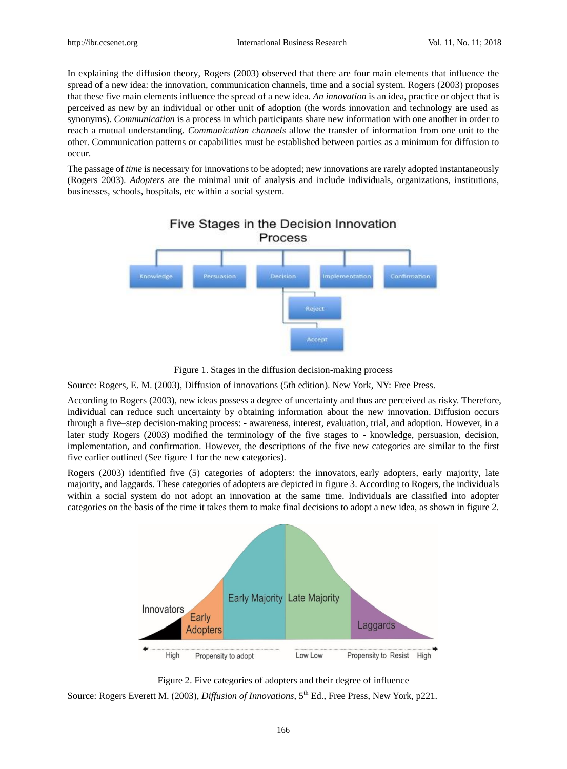In explaining the diffusion theory, Rogers (2003) observed that there are four main elements that influence the spread of a new idea: the innovation, communication channels, time and a social system. Rogers (2003) proposes that these five main elements influence the spread of a new idea. *An innovation* is an idea, practice or object that is perceived as new by an individual or other unit of adoption (the words innovation and technology are used as synonyms). *Communication* is a process in which participants share new information with one another in order to reach a mutual understanding. *Communication channels* allow the transfer of information from one unit to the other. Communication patterns or capabilities must be established between parties as a minimum for diffusion to occur.

The passage of *time* is necessary for innovations to be adopted; new innovations are rarely adopted instantaneously (Rogers 2003). *Adopters* are the minimal unit of analysis and include individuals, organizations, institutions, businesses, schools, hospitals, etc within a social system.



Figure 1. Stages in the diffusion decision-making process

Source: Rogers, E. M. (2003), Diffusion of innovations (5th edition). New York, NY: Free Press.

According to Rogers (2003), new ideas possess a degree of uncertainty and thus are perceived as risky. Therefore, individual can reduce such uncertainty by obtaining information about the new innovation. Diffusion occurs through a five–step decision-making process: - awareness, interest, evaluation, trial, and adoption. However, in a later study Rogers (2003) modified the terminology of the five stages to - knowledge, persuasion, decision, implementation, and confirmation. However, the descriptions of the five new categories are similar to the first five earlier outlined (See figure 1 for the new categories).

Rogers (2003) identified five (5) categories of adopters: the innovators, [early adopters,](http://en.wikipedia.org/wiki/Early_adopters) early majority, late majority, and laggards. These categories of adopters are depicted in figure 3. According to Rogers, the individuals within a social system do not adopt an innovation at the same time. Individuals are classified into adopter categories on the basis of the time it takes them to make final decisions to adopt a new idea, as shown in figure 2.



Figure 2. Five categories of adopters and their degree of influence

Source: Rogers Everett M. (2003), *Diffusion of Innovations*, 5th Ed., Free Press, New York, p221.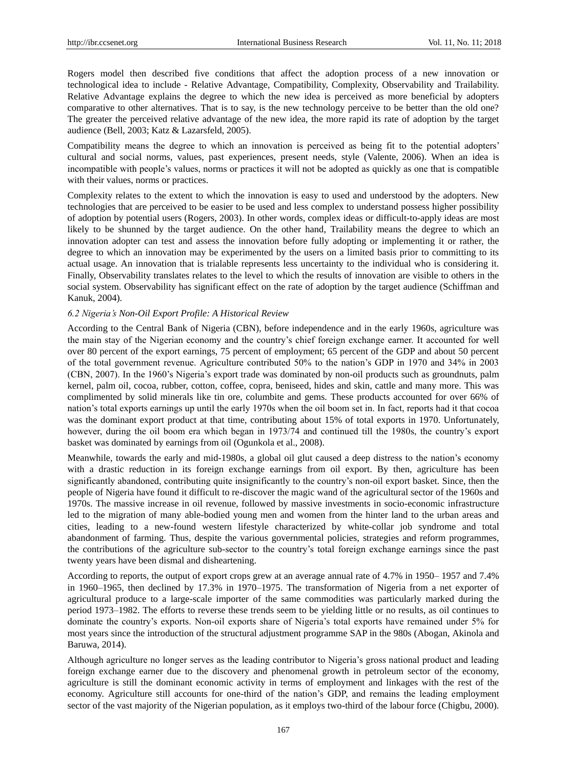Rogers model then described five conditions that affect the adoption process of a new innovation or technological idea to include - Relative Advantage, Compatibility, Complexity, Observability and Trailability. Relative Advantage explains the degree to which the new idea is perceived as more beneficial by adopters comparative to other alternatives. That is to say, is the new technology perceive to be better than the old one? The greater the perceived relative advantage of the new idea, the more rapid its rate of adoption by the target audience (Bell, 2003; Katz & Lazarsfeld, 2005).

Compatibility means the degree to which an innovation is perceived as being fit to the potential adopters' cultural and social norms, values, past experiences, present needs, style (Valente, 2006). When an idea is incompatible with people's values, norms or practices it will not be adopted as quickly as one that is compatible with their values, norms or practices.

Complexity relates to the extent to which the innovation is easy to used and understood by the adopters. New technologies that are perceived to be easier to be used and less complex to understand possess higher possibility of adoption by potential users (Rogers, 2003). In other words, complex ideas or difficult-to-apply ideas are most likely to be shunned by the target audience. On the other hand, Trailability means the degree to which an innovation adopter can test and assess the innovation before fully adopting or implementing it or rather, the degree to which an innovation may be experimented by the users on a limited basis prior to committing to its actual usage. An innovation that is trialable represents less uncertainty to the individual who is considering it. Finally, Observability translates relates to the level to which the results of innovation are visible to others in the social system. Observability has significant effect on the rate of adoption by the target audience (Schiffman and Kanuk, 2004).

# *6.2 Nigeria's Non-Oil Export Profile: A Historical Review*

According to the Central Bank of Nigeria (CBN), before independence and in the early 1960s, agriculture was the main stay of the Nigerian economy and the country's chief foreign exchange earner. It accounted for well over 80 percent of the export earnings, 75 percent of employment; 65 percent of the GDP and about 50 percent of the total government revenue. Agriculture contributed 50% to the nation's GDP in 1970 and 34% in 2003 (CBN, 2007). In the 1960's Nigeria's export trade was dominated by non-oil products such as groundnuts, palm kernel, palm oil, cocoa, rubber, cotton, coffee, copra, beniseed, hides and skin, cattle and many more. This was complimented by solid minerals like tin ore, columbite and gems. These products accounted for over 66% of nation's total exports earnings up until the early 1970s when the oil boom set in. In fact, reports had it that cocoa was the dominant export product at that time, contributing about 15% of total exports in 1970. Unfortunately, however, during the oil boom era which began in 1973/74 and continued till the 1980s, the country's export basket was dominated by earnings from oil (Ogunkola et al., 2008).

Meanwhile, towards the early and mid-1980s, a global oil glut caused a deep distress to the nation's economy with a drastic reduction in its foreign exchange earnings from oil export. By then, agriculture has been significantly abandoned, contributing quite insignificantly to the country's non-oil export basket. Since, then the people of Nigeria have found it difficult to re-discover the magic wand of the agricultural sector of the 1960s and 1970s. The massive increase in oil revenue, followed by massive investments in socio-economic infrastructure led to the migration of many able-bodied young men and women from the hinter land to the urban areas and cities, leading to a new-found western lifestyle characterized by white-collar job syndrome and total abandonment of farming. Thus, despite the various governmental policies, strategies and reform programmes, the contributions of the agriculture sub-sector to the country's total foreign exchange earnings since the past twenty years have been dismal and disheartening.

According to reports, the output of export crops grew at an average annual rate of 4.7% in 1950– 1957 and 7.4% in 1960–1965, then declined by 17.3% in 1970–1975. The transformation of Nigeria from a net exporter of agricultural produce to a large-scale importer of the same commodities was particularly marked during the period 1973–1982. The efforts to reverse these trends seem to be yielding little or no results, as oil continues to dominate the country's exports. Non-oil exports share of Nigeria's total exports have remained under 5% for most years since the introduction of the structural adjustment programme SAP in the 980s (Abogan, Akinola and Baruwa, 2014).

Although agriculture no longer serves as the leading contributor to Nigeria's gross national product and leading foreign exchange earner due to the discovery and phenomenal growth in petroleum sector of the economy, agriculture is still the dominant economic activity in terms of employment and linkages with the rest of the economy. Agriculture still accounts for one-third of the nation's GDP, and remains the leading employment sector of the vast majority of the Nigerian population, as it employs two-third of the labour force (Chigbu, 2000).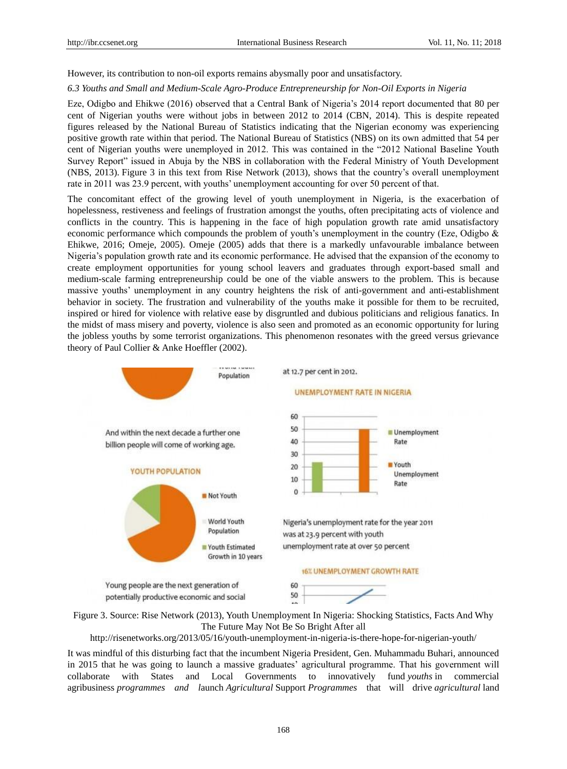However, its contribution to non-oil exports remains abysmally poor and unsatisfactory.

#### *6.3 Youths and Small and Medium-Scale Agro-Produce Entrepreneurship for Non-Oil Exports in Nigeria*

Eze, Odigbo and Ehikwe (2016) observed that a Central Bank of Nigeria's 2014 report documented that 80 per cent of Nigerian youths were without jobs in between 2012 to 2014 (CBN, 2014). This is despite repeated figures released by the National Bureau of Statistics indicating that the Nigerian economy was experiencing positive growth rate within that period. The National Bureau of Statistics (NBS) on its own admitted that 54 per cent of Nigerian youths were unemployed in 2012. This was contained in the "2012 National Baseline Youth Survey Report" issued in Abuja by the NBS in collaboration with the Federal Ministry of Youth Development (NBS, 2013). Figure 3 in this text from Rise Network (2013), shows that the country's overall unemployment rate in 2011 was 23.9 percent, with youths' unemployment accounting for over 50 percent of that.

The concomitant effect of the growing level of youth unemployment in Nigeria, is the exacerbation of hopelessness, restiveness and feelings of frustration amongst the youths, often precipitating acts of violence and conflicts in the country. This is happening in the face of high population growth rate amid unsatisfactory economic performance which compounds the problem of youth's unemployment in the country (Eze, Odigbo & Ehikwe, 2016; Omeje, 2005). Omeje (2005) adds that there is a markedly unfavourable imbalance between Nigeria's population growth rate and its economic performance. He advised that the expansion of the economy to create employment opportunities for young school leavers and graduates through export-based small and medium-scale farming entrepreneurship could be one of the viable answers to the problem. This is because massive youths' unemployment in any country heightens the risk of anti-government and anti-establishment behavior in society. The frustration and vulnerability of the youths make it possible for them to be recruited, inspired or hired for violence with relative ease by disgruntled and dubious politicians and religious fanatics. In the midst of mass misery and poverty, violence is also seen and promoted as an economic opportunity for luring the jobless youths by some terrorist organizations. This phenomenon resonates with the greed versus grievance theory of Paul Collier & Anke Hoeffler (2002).



The Future May Not Be So Bright After all

http://risenetworks.org/2013/05/16/youth-unemployment-in-nigeria-is-there-hope-for-nigerian-youth/

It was mindful of this disturbing fact that the incumbent Nigeria President, Gen. Muhammadu Buhari, announced in 2015 that he was going to launch a massive graduates' agricultural programme. That his government will collaborate with States and Local Governments to innovatively fund *youths* in commercial agribusiness *programmes and l*aunch *Agricultural* Support *Programmes* that will drive *agricultural* land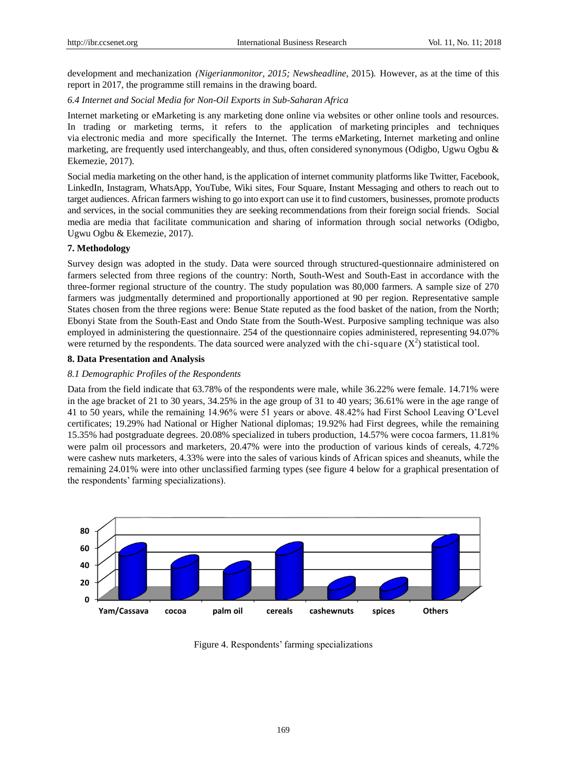development and mechanization *(Nigerianmonitor, 2015; Newsheadline,* 2015)*.* However, as at the time of this report in 2017, the programme still remains in the drawing board.

*6.4 Internet and Social Media for Non-Oil Exports in Sub-Saharan Africa*

Internet marketing or eMarketing is any marketing done online via websites or other online tools and resources. In trading or marketing terms, it refers to the application of marketing principles and techniques via electronic media and more specifically the Internet. The terms eMarketing, Internet marketing and online marketing, are frequently used interchangeably, and thus, often considered synonymous (Odigbo, Ugwu Ogbu & Ekemezie, 2017).

Social media marketing on the other hand, is the application of internet community platforms like Twitter, Facebook, LinkedIn, Instagram, WhatsApp, YouTube, Wiki sites, Four Square, Instant Messaging and others to reach out to target audiences. African farmers wishing to go into export can use it to find customers, businesses, promote products and services, in the social communities they are seeking recommendations from their foreign social friends. Social media are media that facilitate communication and sharing of information through social networks (Odigbo, Ugwu Ogbu & Ekemezie, 2017).

### **7. Methodology**

Survey design was adopted in the study. Data were sourced through structured-questionnaire administered on farmers selected from three regions of the country: North, South-West and South-East in accordance with the three-former regional structure of the country. The study population was 80,000 farmers. A sample size of 270 farmers was judgmentally determined and proportionally apportioned at 90 per region. Representative sample States chosen from the three regions were: Benue State reputed as the food basket of the nation, from the North; Ebonyi State from the South-East and Ondo State from the South-West. Purposive sampling technique was also employed in administering the questionnaire. 254 of the questionnaire copies administered, representing 94.07% were returned by the respondents. The data sourced were analyzed with the chi-square  $(X^2)$  statistical tool.

### **8. Data Presentation and Analysis**

#### *8.1 Demographic Profiles of the Respondents*

Data from the field indicate that 63.78% of the respondents were male, while 36.22% were female. 14.71% were in the age bracket of 21 to 30 years, 34.25% in the age group of 31 to 40 years; 36.61% were in the age range of 41 to 50 years, while the remaining 14.96% were 51 years or above. 48.42% had First School Leaving O'Level certificates; 19.29% had National or Higher National diplomas; 19.92% had First degrees, while the remaining 15.35% had postgraduate degrees. 20.08% specialized in tubers production, 14.57% were cocoa farmers, 11.81% were palm oil processors and marketers, 20.47% were into the production of various kinds of cereals, 4.72% were cashew nuts marketers, 4.33% were into the sales of various kinds of African spices and sheanuts, while the remaining 24.01% were into other unclassified farming types (see figure 4 below for a graphical presentation of the respondents' farming specializations).



Figure 4. Respondents' farming specializations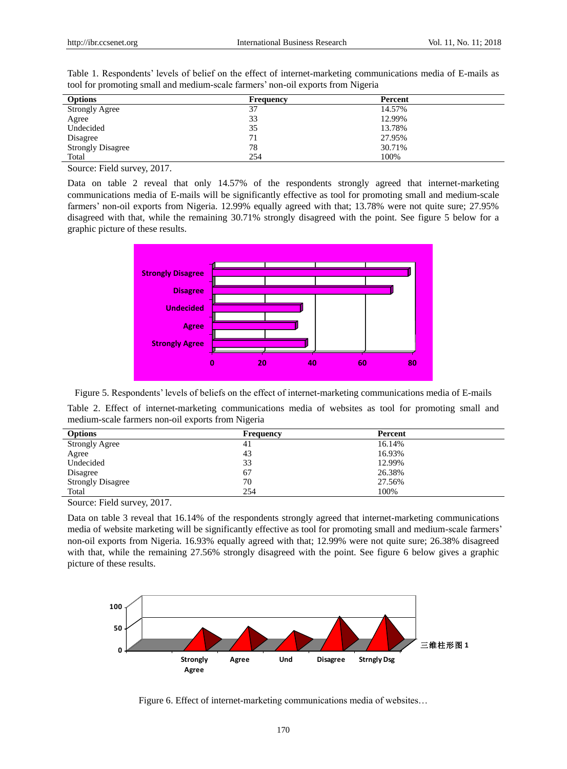| <b>Options</b>           | Frequency | Percent |
|--------------------------|-----------|---------|
| <b>Strongly Agree</b>    | 37        | 14.57%  |
| Agree                    | 33        | 12.99%  |
| Undecided                | 35        | 13.78%  |
| Disagree                 | 71        | 27.95%  |
| <b>Strongly Disagree</b> | 78        | 30.71%  |
| Total                    | 254       | 100%    |

Table 1. Respondents' levels of belief on the effect of internet-marketing communications media of E-mails as tool for promoting small and medium-scale farmers' non-oil exports from Nigeria

Source: Field survey, 2017.

Data on table 2 reveal that only 14.57% of the respondents strongly agreed that internet-marketing communications media of E-mails will be significantly effective as tool for promoting small and medium-scale farmers' non-oil exports from Nigeria. 12.99% equally agreed with that; 13.78% were not quite sure; 27.95% disagreed with that, while the remaining 30.71% strongly disagreed with the point. See figure 5 below for a graphic picture of these results.



Figure 5. Respondents' levels of beliefs on the effect of internet-marketing communications media of E-mails

Table 2. Effect of internet-marketing communications media of websites as tool for promoting small and medium-scale farmers non-oil exports from Nigeria

| <b>Options</b>           | <b>Frequency</b> | Percent |
|--------------------------|------------------|---------|
| <b>Strongly Agree</b>    | 41               | 16.14%  |
| Agree                    | 43               | 16.93%  |
| Undecided                | 33               | 12.99%  |
| Disagree                 | 67               | 26.38%  |
| <b>Strongly Disagree</b> | 70               | 27.56%  |
| Total                    | 254              | 100%    |

Source: Field survey, 2017.

Data on table 3 reveal that 16.14% of the respondents strongly agreed that internet-marketing communications media of website marketing will be significantly effective as tool for promoting small and medium-scale farmers' non-oil exports from Nigeria. 16.93% equally agreed with that; 12.99% were not quite sure; 26.38% disagreed with that, while the remaining 27.56% strongly disagreed with the point. See figure 6 below gives a graphic picture of these results.



Figure 6. Effect of internet-marketing communications media of websites…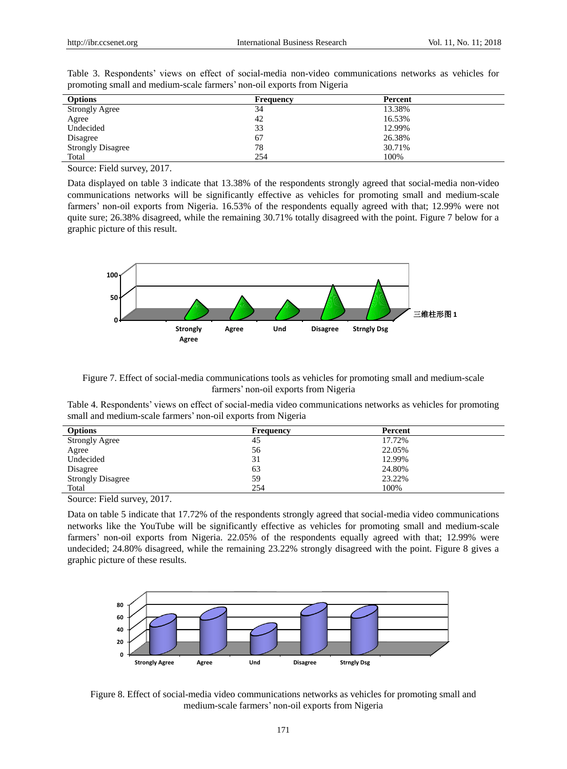| <b>Options</b>           | <b>Frequency</b> | Percent |
|--------------------------|------------------|---------|
| <b>Strongly Agree</b>    | 34               | 13.38%  |
| Agree                    | 42               | 16.53%  |
| Undecided                | 33               | 12.99%  |
| Disagree                 | 67               | 26.38%  |
| <b>Strongly Disagree</b> | 78               | 30.71%  |
| Total                    | 254              | 100%    |

Table 3. Respondents' views on effect of social-media non-video communications networks as vehicles for promoting small and medium-scale farmers' non-oil exports from Nigeria

Source: Field survey, 2017.

Data displayed on table 3 indicate that 13.38% of the respondents strongly agreed that social-media non-video communications networks will be significantly effective as vehicles for promoting small and medium-scale farmers' non-oil exports from Nigeria. 16.53% of the respondents equally agreed with that; 12.99% were not quite sure; 26.38% disagreed, while the remaining 30.71% totally disagreed with the point. Figure 7 below for a graphic picture of this result.



Figure 7. Effect of social-media communications tools as vehicles for promoting small and medium-scale farmers' non-oil exports from Nigeria

Table 4. Respondents' views on effect of social-media video communications networks as vehicles for promoting small and medium-scale farmers' non-oil exports from Nigeria

| <b>Options</b>           | <b>Frequency</b> | Percent |
|--------------------------|------------------|---------|
| <b>Strongly Agree</b>    | 45               | 17.72%  |
| Agree                    | 56               | 22.05%  |
| Undecided                | 31               | 12.99%  |
| Disagree                 | 63               | 24.80%  |
| <b>Strongly Disagree</b> | 59               | 23.22%  |
| Total                    | 254              | 100%    |

Source: Field survey, 2017.

Data on table 5 indicate that 17.72% of the respondents strongly agreed that social-media video communications networks like the YouTube will be significantly effective as vehicles for promoting small and medium-scale farmers' non-oil exports from Nigeria. 22.05% of the respondents equally agreed with that; 12.99% were undecided; 24.80% disagreed, while the remaining 23.22% strongly disagreed with the point. Figure 8 gives a graphic picture of these results.



Figure 8. Effect of social-media video communications networks as vehicles for promoting small and medium-scale farmers' non-oil exports from Nigeria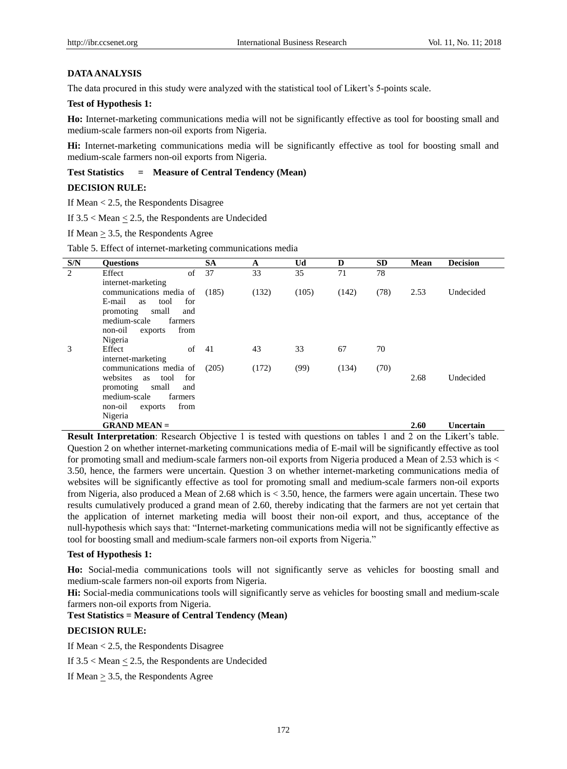# **DATA ANALYSIS**

The data procured in this study were analyzed with the statistical tool of Likert's 5-points scale.

# **Test of Hypothesis 1:**

**Ho:** Internet-marketing communications media will not be significantly effective as tool for boosting small and medium-scale farmers non-oil exports from Nigeria.

**Hi:** Internet-marketing communications media will be significantly effective as tool for boosting small and medium-scale farmers non-oil exports from Nigeria.

# **Test Statistics = Measure of Central Tendency (Mean)**

# **DECISION RULE:**

If Mean < 2.5, the Respondents Disagree

If 3.5 < Mean < 2.5, the Respondents are Undecided

If Mean  $\geq$  3.5, the Respondents Agree

Table 5. Effect of internet-marketing communications media

| S/N | <b>Ouestions</b>                              | <b>SA</b> | A     | Ud    | D     | <b>SD</b> | <b>Mean</b> | <b>Decision</b> |
|-----|-----------------------------------------------|-----------|-------|-------|-------|-----------|-------------|-----------------|
| 2   | of<br>Effect                                  | 37        | 33    | 35    | 71    | 78        |             |                 |
|     | internet-marketing                            |           |       |       |       |           |             |                 |
|     | communications media of                       | (185)     | (132) | (105) | (142) | (78)      | 2.53        | Undecided       |
|     | E-mail<br>tool<br>for<br>as                   |           |       |       |       |           |             |                 |
|     | promoting<br>small<br>and                     |           |       |       |       |           |             |                 |
|     | medium-scale<br>farmers                       |           |       |       |       |           |             |                 |
|     | from<br>non-oil<br>exports                    |           |       |       |       |           |             |                 |
|     | Nigeria                                       |           |       |       |       |           |             |                 |
| 3   | Effect<br>of                                  | -41       | 43    | 33    | 67    | 70        |             |                 |
|     | internet-marketing<br>communications media of | (205)     | (172) | (99)  | (134) | (70)      |             |                 |
|     | websites<br>for<br>tool<br>as                 |           |       |       |       |           | 2.68        | Undecided       |
|     | small<br>promoting<br>and                     |           |       |       |       |           |             |                 |
|     | medium-scale<br>farmers                       |           |       |       |       |           |             |                 |
|     | from<br>non-oil<br>exports                    |           |       |       |       |           |             |                 |
|     | Nigeria                                       |           |       |       |       |           |             |                 |
|     | $GRAND MEAN =$                                |           |       |       |       |           | 2.60        | Uncertain       |

**Result Interpretation**: Research Objective 1 is tested with questions on tables 1 and 2 on the Likert's table. Question 2 on whether internet-marketing communications media of E-mail will be significantly effective as tool for promoting small and medium-scale farmers non-oil exports from Nigeria produced a Mean of 2.53 which is < 3.50, hence, the farmers were uncertain. Question 3 on whether internet-marketing communications media of websites will be significantly effective as tool for promoting small and medium-scale farmers non-oil exports from Nigeria, also produced a Mean of 2.68 which is < 3.50, hence, the farmers were again uncertain. These two results cumulatively produced a grand mean of 2.60, thereby indicating that the farmers are not yet certain that the application of internet marketing media will boost their non-oil export, and thus, acceptance of the null-hypothesis which says that: "Internet-marketing communications media will not be significantly effective as tool for boosting small and medium-scale farmers non-oil exports from Nigeria."

#### **Test of Hypothesis 1:**

**Ho:** Social-media communications tools will not significantly serve as vehicles for boosting small and medium-scale farmers non-oil exports from Nigeria.

**Hi:** Social-media communications tools will significantly serve as vehicles for boosting small and medium-scale farmers non-oil exports from Nigeria.

# **Test Statistics = Measure of Central Tendency (Mean)**

#### **DECISION RULE:**

If Mean < 2.5, the Respondents Disagree

If  $3.5 <$  Mean  $\leq 2.5$ , the Respondents are Undecided

If Mean > 3.5, the Respondents Agree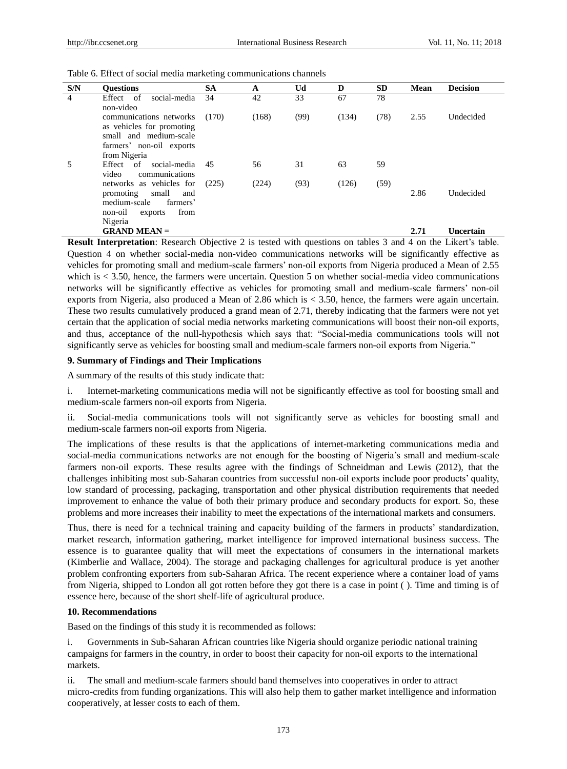| S/N | <b>Ouestions</b>                                                                                                           | <b>SA</b> | A     | Ud   | D     | <b>SD</b> | <b>Mean</b> | <b>Decision</b> |
|-----|----------------------------------------------------------------------------------------------------------------------------|-----------|-------|------|-------|-----------|-------------|-----------------|
| 4   | Effect of<br>social-media<br>non-video                                                                                     | 34        | 42    | 33   | 67    | 78        |             |                 |
|     | communications networks<br>as vehicles for promoting<br>small and medium-scale<br>farmers' non-oil exports<br>from Nigeria | (170)     | (168) | (99) | (134) | (78)      | 2.55        | Undecided       |
| 5   | Effect of<br>social-media<br>video<br>communications                                                                       | 45        | 56    | 31   | 63    | 59        |             |                 |
|     | networks as vehicles for<br>promoting<br>small<br>and<br>medium-scale<br>farmers'<br>from<br>non-oil<br>exports<br>Nigeria | (225)     | (224) | (93) | (126) | (59)      | 2.86        | Undecided       |
|     | $GRAND MEAN =$                                                                                                             |           |       |      |       |           | 2.71        | Uncertain       |

Table 6. Effect of social media marketing communications channels

**Result Interpretation**: Research Objective 2 is tested with questions on tables 3 and 4 on the Likert's table. Question 4 on whether social-media non-video communications networks will be significantly effective as vehicles for promoting small and medium-scale farmers' non-oil exports from Nigeria produced a Mean of 2.55 which is < 3.50, hence, the farmers were uncertain. Question 5 on whether social-media video communications networks will be significantly effective as vehicles for promoting small and medium-scale farmers' non-oil exports from Nigeria, also produced a Mean of 2.86 which is < 3.50, hence, the farmers were again uncertain. These two results cumulatively produced a grand mean of 2.71, thereby indicating that the farmers were not yet certain that the application of social media networks marketing communications will boost their non-oil exports, and thus, acceptance of the null-hypothesis which says that: "Social-media communications tools will not significantly serve as vehicles for boosting small and medium-scale farmers non-oil exports from Nigeria."

#### **9. Summary of Findings and Their Implications**

A summary of the results of this study indicate that:

i. Internet-marketing communications media will not be significantly effective as tool for boosting small and medium-scale farmers non-oil exports from Nigeria.

ii. Social-media communications tools will not significantly serve as vehicles for boosting small and medium-scale farmers non-oil exports from Nigeria.

The implications of these results is that the applications of internet-marketing communications media and social-media communications networks are not enough for the boosting of Nigeria's small and medium-scale farmers non-oil exports. These results agree with the findings of Schneidman and Lewis (2012), that the challenges inhibiting most sub-Saharan countries from successful non-oil exports include poor products' quality, low standard of processing, packaging, transportation and other physical distribution requirements that needed improvement to enhance the value of both their primary produce and secondary products for export. So, these problems and more increases their inability to meet the expectations of the international markets and consumers.

Thus, there is need for a technical training and capacity building of the farmers in products' standardization, market research, information gathering, market intelligence for improved international business success. The essence is to guarantee quality that will meet the expectations of consumers in the international markets (Kimberlie and Wallace, 2004). The storage and packaging challenges for agricultural produce is yet another problem confronting exporters from sub-Saharan Africa. The recent experience where a container load of yams from Nigeria, shipped to London all got rotten before they got there is a case in point ( ). Time and timing is of essence here, because of the short shelf-life of agricultural produce.

#### **10. Recommendations**

Based on the findings of this study it is recommended as follows:

i. Governments in Sub-Saharan African countries like Nigeria should organize periodic national training campaigns for farmers in the country, in order to boost their capacity for non-oil exports to the international markets.

ii. The small and medium-scale farmers should band themselves into cooperatives in order to attract micro-credits from funding organizations. This will also help them to gather market intelligence and information cooperatively, at lesser costs to each of them.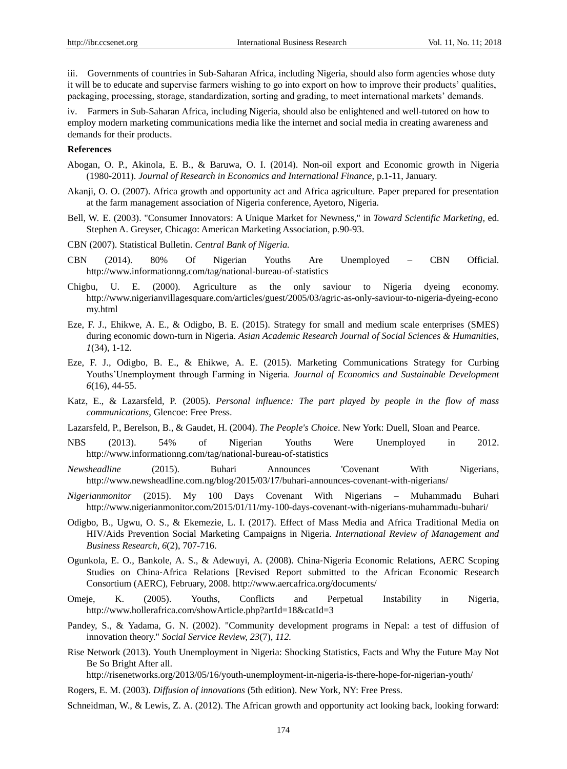iii. Governments of countries in Sub-Saharan Africa, including Nigeria, should also form agencies whose duty it will be to educate and supervise farmers wishing to go into export on how to improve their products' qualities, packaging, processing, storage, standardization, sorting and grading, to meet international markets' demands.

iv. Farmers in Sub-Saharan Africa, including Nigeria, should also be enlightened and well-tutored on how to employ modern marketing communications media like the internet and social media in creating awareness and demands for their products.

# **References**

- Abogan, O. P., Akinola, E. B., & Baruwa, O. I. (2014). Non-oil export and Economic growth in Nigeria (1980-2011). *Journal of Research in Economics and International Finance*, p.1-11, January.
- Akanji, O. O. (2007). Africa growth and opportunity act and Africa agriculture. Paper prepared for presentation at the farm management association of Nigeria conference, Ayetoro, Nigeria.
- Bell, W. E. (2003). "Consumer Innovators: A Unique Market for Newness," in *Toward Scientific Marketing*, ed. Stephen A. Greyser, Chicago: American Marketing Association, p.90-93.
- CBN (2007). Statistical Bulletin. *Central Bank of Nigeria.*
- CBN (2014). [80% Of Nigerian Youths Are Unemployed –](http://www.informationng.com/2014/06/80-of-nigerian-youths-are-unemployed-cbn-official.html) CBN Official. http://www.informationng.com/tag/national-bureau-of-statistics
- Chigbu, U. E. (2000). Agriculture as the only saviour to Nigeria dyeing economy. [http://www.nigerianvillagesquare.com/articles/guest/2005/03/agric-as-only-](http://www.nigerianvillagesquare.com/articles/guest/2005/03/agric-as-only)saviour-to-nigeria-dyeing-econo my.html
- Eze, F. J., Ehikwe, A. E., & Odigbo, B. E. (2015). Strategy for small and medium scale enterprises (SMES) during economic down-turn in Nigeria. *Asian Academic Research Journal of Social Sciences & Humanities, 1*(34), 1-12.
- Eze, F. J., Odigbo, B. E., & Ehikwe, A. E. (2015). Marketing Communications Strategy for Curbing Youths'Unemployment through Farming in Nigeria. *Journal of Economics and Sustainable Development 6*(16), 44-55.
- Katz, E., & Lazarsfeld, P. (2005). *Personal influence: The part played by people in the flow of mass communications,* Glencoe: Free Press.
- Lazarsfeld, P., Berelson, B., & Gaudet, H. (2004). *The People's Choice*. New York: Duell, Sloan and Pearce.
- NBS (2013). 54% of Nigerian Youths Were Unemployed in 2012. <http://www.informationng.com/tag/national-bureau-of-statistics>
- *Newsheadline* (2015). [Buhari Announces 'Covenant With Nigerians,](http://newsheadline.com.ng/blog/2015/03/17/buhari-announces-covenant-with-nigerians/)  http://www.newsheadline.com.ng/blog/2015/03/17/buhari-announces-covenant-with-nigerians/
- *Nigerianmonitor* (2015). [My 100 Days Covenant With Nigerians –](http://www.nigerianmonitor.com/2015/01/22/my-100-days-covenant-with-nigerians-muhammadu-buhari/) Muhammadu Buhari http://www.nigerianmonitor.com/2015/01/11/my-100-days-covenant-with-nigerians-muhammadu-buhari/
- Odigbo, B., Ugwu, O. S., & Ekemezie, L. I. (2017). Effect of Mass Media and Africa Traditional Media on HIV/Aids Prevention Social Marketing Campaigns in Nigeria. *International Review of Management and Business Research, 6*(2), 707-716.
- Ogunkola, E. O., Bankole, A. S., & Adewuyi, A. (2008). China‐Nigeria Economic Relations, AERC Scoping Studies on China‐Africa Relations [Revised Report submitted to the African Economic Research Consortium (AERC), February, 2008.<http://www.aercafrica.org/documents/>
- Omeje, K. (2005). [Youths, Conflicts and Perpetual Instability in Nigeria,](file:///C:/Users/Ben/Desktop/Desktop/Youths,%20Conflicts%20and%20Perpetual%20Instability%20in%20Nigeria%20%20%20%20Holler%20Africa%20-%20Make%20Yourself%20Heard!.htm) <http://www.hollerafrica.com/showArticle.php?artId=18&catId=3>
- Pandey, S., & Yadama, G. N. (2002). "Community development programs in Nepal: a test of diffusion of innovation theory." *Social Service Review, 23*(7), *112.*
- Rise Network (2013). Youth Unemployment in Nigeria: Shocking Statistics, Facts and Why the Future May Not Be So Bright After all.

http://risenetworks.org/2013/05/16/youth-unemployment-in-nigeria-is-there-hope-for-nigerian-youth/

- Rogers, E. M. (2003). *Diffusion of innovations* (5th edition). New York, NY: Free Press.
- Schneidman, W., & Lewis, Z. A. (2012). The African growth and opportunity act looking back, looking forward: